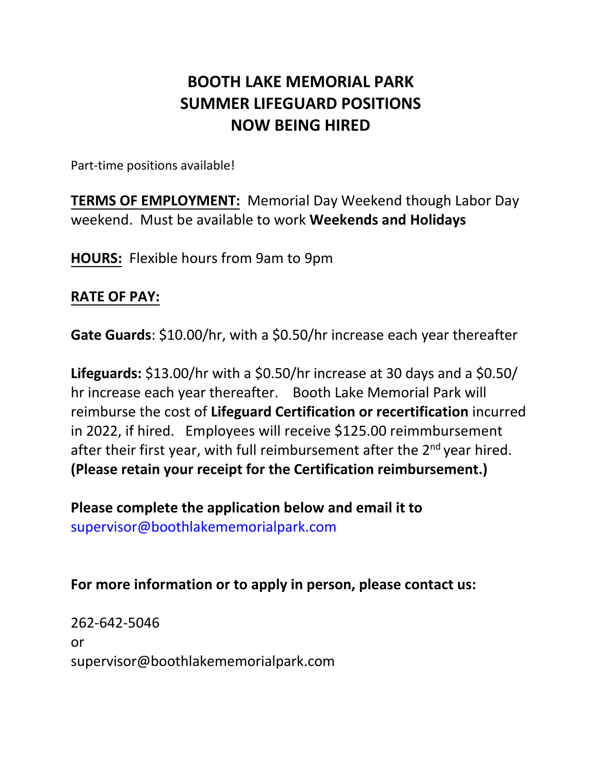## **BOOTH LAKE MEMORIAL PARK SUMMER LIFEGUARD POSITIONS NOW BEING HIRED**

Part-time positions available!

**TERMS OF EMPLOYMENT:** Memorial Day Weekend though Labor Day weekend. Must be available to work **Weekends and Holidays**

**HOURS:** Flexible hours from 9am to 9pm

## **RATE OF PAY:**

**Gate Guards**: \$10.00/hr, with a \$0.50/hr increase each year thereafter

**Lifeguards:** \$13.00/hr with a \$0.50/hr increase at 30 days and a \$0.50/ hr increase each year thereafter. Booth Lake Memorial Park will reimburse the cost of **Lifeguard Certification or recertification** incurred in 2022, if hired. Employees will receive \$125.00 reimmbursement after their first year, with full reimbursement after the 2<sup>nd</sup> year hired. **(Please retain your receipt for the Certification reimbursement.)** 

**Please complete the application below and email it to**  [supervisor@boothlakem](mailto:kzaeske1@yahoo.com)emorialpark.com

## **For more information or to apply in person, please contact us:**

262-642-5046 or [supervisor@boothlakememorialpark.com](mailto:kzaeske1@yahoo.com)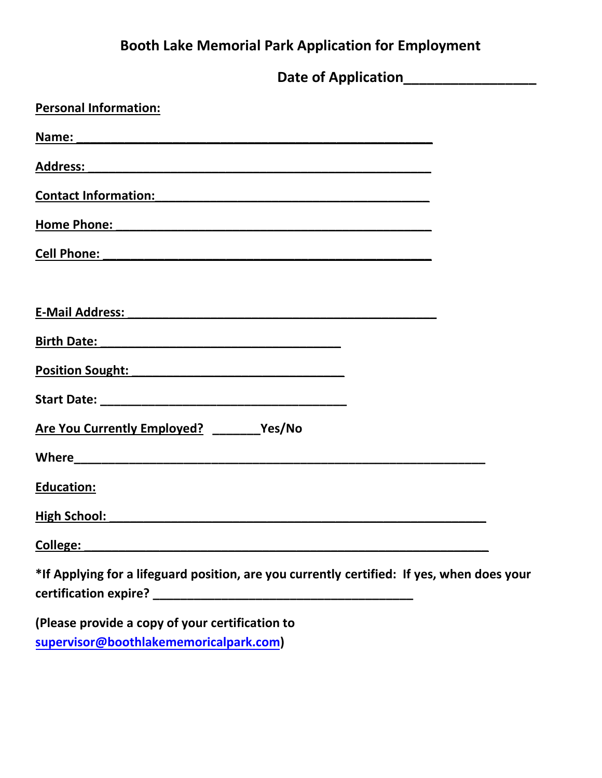## **Booth Lake Memorial Park Application for Employment**

| <b>Personal Information:</b>                                                                                                                                                                                                         |  |
|--------------------------------------------------------------------------------------------------------------------------------------------------------------------------------------------------------------------------------------|--|
|                                                                                                                                                                                                                                      |  |
| Address: Address: Address: Address: Address: Address: Address: Address: Address: Address: Address: Address: Address: Address: Address: Address: Address: Address: Address: Address: Address: Address: Address: Address: Addres       |  |
| Contact Information: example and the contract of the contract of the contract of the contract of the contract of the contract of the contract of the contract of the contract of the contract of the contract of the contract        |  |
|                                                                                                                                                                                                                                      |  |
| Cell Phone: <u>and the contract of the contract of the contract of the contract of the contract of the contract of the contract of the contract of the contract of the contract of the contract of the contract of the contract </u> |  |
| <b>E-Mail Address:</b>                                                                                                                                                                                                               |  |
|                                                                                                                                                                                                                                      |  |
| Position Sought: National Position Sought:                                                                                                                                                                                           |  |
|                                                                                                                                                                                                                                      |  |
| Are You Currently Employed? ______Yes/No                                                                                                                                                                                             |  |
|                                                                                                                                                                                                                                      |  |
| <b>Education:</b>                                                                                                                                                                                                                    |  |
|                                                                                                                                                                                                                                      |  |
| College:                                                                                                                                                                                                                             |  |
| *If Applying for a lifeguard position, are you currently certified: If yes, when does your                                                                                                                                           |  |
|                                                                                                                                                                                                                                      |  |
| (Please provide a copy of your certification to                                                                                                                                                                                      |  |
| supervisor@boothlakememoricalpark.com)                                                                                                                                                                                               |  |